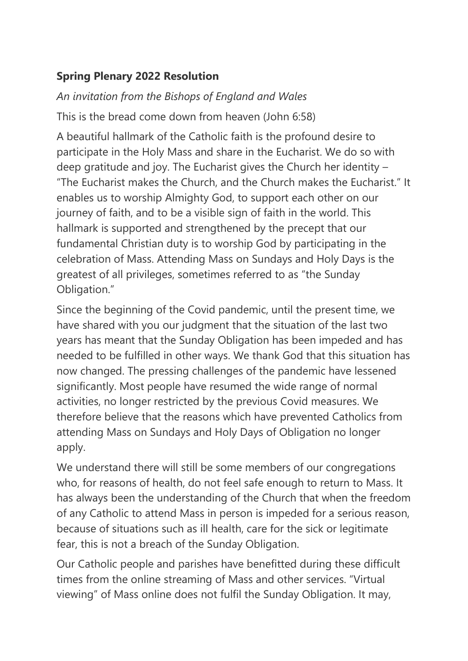## **Spring Plenary 2022 Resolution**

*An invitation from the Bishops of England and Wales* This is the bread come down from heaven (John 6:58)

A beautiful hallmark of the Catholic faith is the profound desire to participate in the Holy Mass and share in the Eucharist. We do so with deep gratitude and joy. The Eucharist gives the Church her identity – "The Eucharist makes the Church, and the Church makes the Eucharist." It enables us to worship Almighty God, to support each other on our journey of faith, and to be a visible sign of faith in the world. This hallmark is supported and strengthened by the precept that our fundamental Christian duty is to worship God by participating in the celebration of Mass. Attending Mass on Sundays and Holy Days is the greatest of all privileges, sometimes referred to as "the Sunday Obligation."

Since the beginning of the Covid pandemic, until the present time, we have shared with you our judgment that the situation of the last two years has meant that the Sunday Obligation has been impeded and has needed to be fulfilled in other ways. We thank God that this situation has now changed. The pressing challenges of the pandemic have lessened significantly. Most people have resumed the wide range of normal activities, no longer restricted by the previous Covid measures. We therefore believe that the reasons which have prevented Catholics from attending Mass on Sundays and Holy Days of Obligation no longer apply.

We understand there will still be some members of our congregations who, for reasons of health, do not feel safe enough to return to Mass. It has always been the understanding of the Church that when the freedom of any Catholic to attend Mass in person is impeded for a serious reason, because of situations such as ill health, care for the sick or legitimate fear, this is not a breach of the Sunday Obligation.

Our Catholic people and parishes have benefitted during these difficult times from the online streaming of Mass and other services. "Virtual viewing" of Mass online does not fulfil the Sunday Obligation. It may,